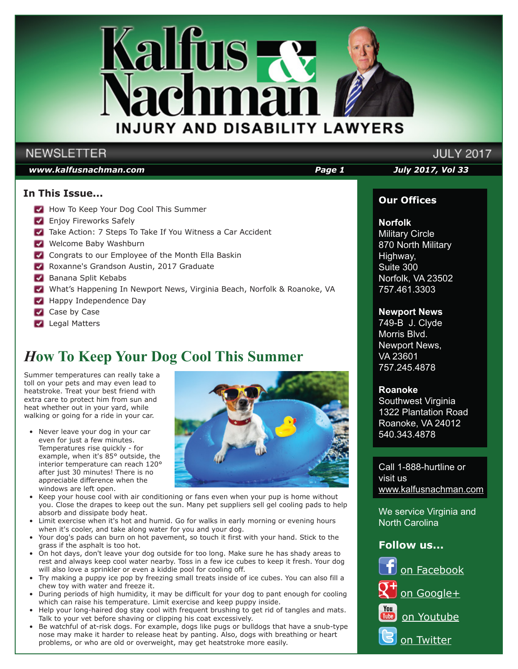

# **NEWSLETTER**

### *www.kalfusnachman.com Page 1 July 2017, Vol 33*

## **In This Issue...**

- How To Keep Your Dog Cool This Summer
- **Enjoy Fireworks Safely**
- Take Action: 7 Steps To Take If You Witness a Car Accident
- Welcome Baby Washburn
- Congrats to our Employee of the Month Ella Baskin
- Roxanne's Grandson Austin, 2017 Graduate
- **Banana Split Kebabs**
- What's Happening In Newport News, Virginia Beach, Norfolk & Roanoke, VA
- **Happy Independence Day**
- Case by Case
- **Legal Matters**

# *H***ow To Keep Your Dog Cool This Summer**

Summer temperatures can really take a toll on your pets and may even lead to heatstroke. Treat your best friend with extra care to protect him from sun and heat whether out in your yard, while walking or going for a ride in your car.

- Never leave your dog in your car even for just a few minutes. Temperatures rise quickly - for example, when it's 85° outside, the interior temperature can reach 120° after just 30 minutes! There is no appreciable difference when the windows are left open.
- Keep your house cool with air conditioning or fans even when your pup is home without you. Close the drapes to keep out the sun. Many pet suppliers sell gel cooling pads to help absorb and dissipate body heat.
- Limit exercise when it's hot and humid. Go for walks in early morning or evening hours when it's cooler, and take along water for you and your dog.
- Your dog's pads can burn on hot pavement, so touch it first with your hand. Stick to the grass if the asphalt is too hot.
- On hot days, don't leave your dog outside for too long. Make sure he has shady areas to rest and always keep cool water nearby. Toss in a few ice cubes to keep it fresh. Your dog will also love a sprinkler or even a kiddie pool for cooling off.
- Try making a puppy ice pop by freezing small treats inside of ice cubes. You can also fill a chew toy with water and freeze it.
- During periods of high humidity, it may be difficult for your dog to pant enough for cooling which can raise his temperature. Limit exercise and keep puppy inside.
- Help your long-haired dog stay cool with frequent brushing to get rid of tangles and mats. Talk to your vet before shaving or clipping his coat excessively.
- Be watchful of at-risk dogs. For example, dogs like pugs or bulldogs that have a snub-type nose may make it harder to release heat by panting. Also, dogs with breathing or heart problems, or who are old or overweight, may get heatstroke more easily.



# **Our Offices**

**JULY 2017** 

**Norfolk** Military Circle 870 North Military Highway, Suite 300 Norfolk, VA 23502 757.461.3303

# **Newport News**

749-B J. Clyde Morris Blvd. Newport News, VA 23601 757.245.4878

## **Roanoke**

Southwest Virginia 1322 Plantation Road Roanoke, VA 24012 540.343.4878

Call 1-888-hurtline or visit us www.kalfusnachman.com

We service Virginia and North Carolina

# **Follow us...**

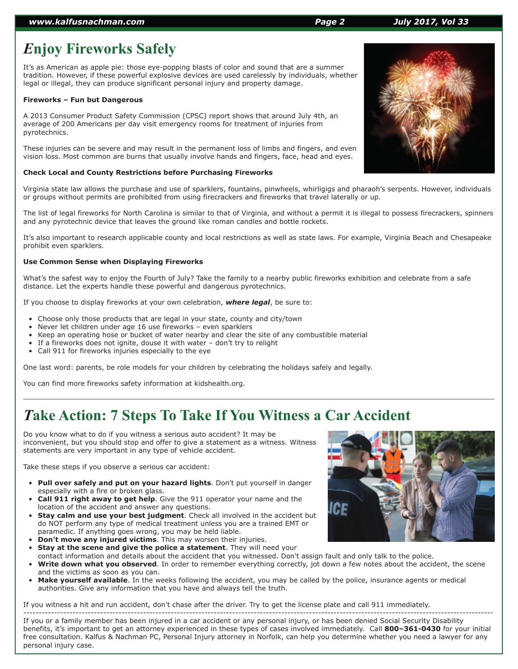### *www.kalfusnachman.com Page 2 July 2017, Vol 33*

# *E***njoy Fireworks Safely**

It's as American as apple pie: those eye-popping blasts of color and sound that are a summer tradition. However, if these powerful explosive devices are used carelessly by individuals, whether legal or illegal, they can produce significant personal injury and property damage.

### **Fireworks – Fun but Dangerous**

A 2013 Consumer Product Safety Commission (CPSC) report shows that around July 4th, an average of 200 Americans per day visit emergency rooms for treatment of injuries from pyrotechnics.

These injuries can be severe and may result in the permanent loss of limbs and fingers, and even vision loss. Most common are burns that usually involve hands and fingers, face, head and eyes.

### **Check Local and County Restrictions before Purchasing Fireworks**

Virginia state law allows the purchase and use of sparklers, fountains, pinwheels, whirligigs and pharaoh's serpents. However, individuals or groups without permits are prohibited from using firecrackers and fireworks that travel laterally or up.

The list of legal fireworks for North Carolina is similar to that of Virginia, and without a permit it is illegal to possess firecrackers, spinners and any pyrotechnic device that leaves the ground like roman candles and bottle rockets.

It's also important to research applicable county and local restrictions as well as state laws. For example, Virginia Beach and Chesapeake prohibit even sparklers.

### **Use Common Sense when Displaying Fireworks**

What's the safest way to enjoy the Fourth of July? Take the family to a nearby public fireworks exhibition and celebrate from a safe distance. Let the experts handle these powerful and dangerous pyrotechnics.

If you choose to display fireworks at your own celebration, *where legal*, be sure to:

- Choose only those products that are legal in your state, county and city/town
- Never let children under age 16 use fireworks even sparklers
- Keep an operating hose or bucket of water nearby and clear the site of any combustible material
- If a fireworks does not ignite, douse it with water  $-$  don't try to relight
- Call 911 for fireworks injuries especially to the eye

One last word: parents, be role models for your children by celebrating the holidays safely and legally.

You can find more fireworks safety information at kidshealth.org.

# *T***ake Action: 7 Steps To Take If You Witness a Car Accident**

Do you know what to do if you witness a serious auto accident? It may be inconvenient, but you should stop and offer to give a statement as a witness. Witness statements are very important in any type of vehicle accident.

Take these steps if you observe a serious car accident:

- **Pull over safely and put on your hazard lights**. Don't put yourself in danger especially with a fire or broken glass.
- **Call 911 right away to get help**. Give the 911 operator your name and the location of the accident and answer any questions.
- **Stay calm and use your best judgment**. Check all involved in the accident but do NOT perform any type of medical treatment unless you are a trained EMT or paramedic. If anything goes wrong, you may be held liable.
- **Don't move any injured victims**. This may worsen their injuries.
- **Stay at the scene and give the police a statement**. They will need your
- contact information and details about the accident that you witnessed. Don't assign fault and only talk to the police. Write down what you observed. In order to remember everything correctly, jot down a few notes about the accident, the scene and the victims as soon as you can.
- **Make yourself available**. In the weeks following the accident, you may be called by the police, insurance agents or medical authorities. Give any information that you have and always tell the truth.

If you witness a hit and run accident, don't chase after the driver. Try to get the license plate and call 911 immediately.

--------------------------------------------------------------------------------------------------------------------------------------------------------- If you or a family member has been injured in a car accident or any personal injury, or has been denied Social Security Disability benefits, it's important to get an attorney experienced in these types of cases involved immediately. Call **800–361-0430** for your initial free consultation. Kalfus & Nachman PC, Personal Injury attorney in Norfolk, can help you determine whether you need a lawyer for any personal injury case.





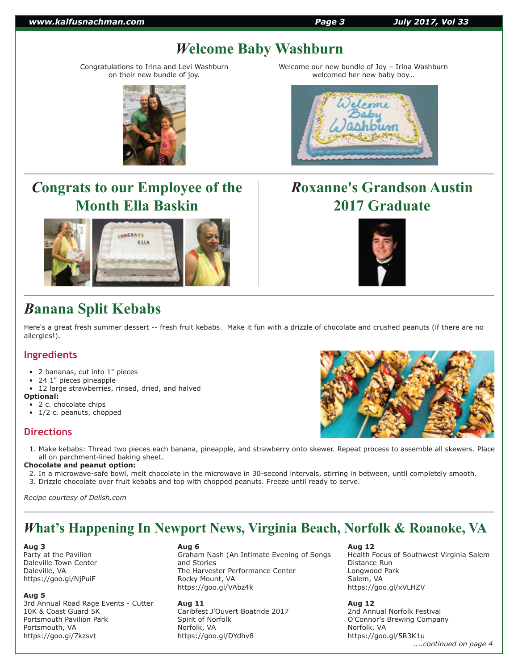#### *www.kalfusnachman.com Page 3 July 2017, Vol 33*

# *W***elcome Baby Washburn**

Congratulations to Irina and Levi Washburn on their new bundle of joy.



# *C***ongrats to our Employee of the Month Ella Baskin**



# *B***anana Split Kebabs**

Here's a great fresh summer dessert -- fresh fruit kebabs. Make it fun with a drizzle of chocolate and crushed peanuts (if there are no allergies!).

## **Ingredients**

- 2 bananas, cut into 1" pieces
- 24 1" pieces pineapple
- 12 large strawberries, rinsed, dried, and halved

#### **Optional:**

- 2 c. chocolate chips
- 1/2 c. peanuts, chopped

## **Directions**

 1. Make kebabs: Thread two pieces each banana, pineapple, and strawberry onto skewer. Repeat process to assemble all skewers. Place all on parchment-lined baking sheet.

### **Chocolate and peanut option:**

- 2. In a microwave-safe bowl, melt chocolate in the microwave in 30-second intervals, stirring in between, until completely smooth.
- 3. Drizzle chocolate over fruit kebabs and top with chopped peanuts. Freeze until ready to serve.

*Recipe courtesy of Delish.com*

# *W***hat's Happening In Newport News, Virginia Beach, Norfolk & Roanoke, VA**

#### **Aug 3**

Party at the Pavilion Daleville Town Center Daleville, VA https://goo.gl/NjPuiF

#### **Aug 5**

3rd Annual Road Rage Events - Cutter 10K & Coast Guard 5K Portsmouth Pavilion Park Portsmouth, VA https://goo.gl/7kzsvt

#### **Aug 6**

Graham Nash (An Intimate Evening of Songs and Stories The Harvester Performance Center Rocky Mount, VA https://goo.gl/VAbz4k

**Aug 11**

Caribfest J'Ouvert Boatride 2017 Spirit of Norfolk Norfolk, VA https://goo.gl/DYdhv8

### **Aug 12**

Health Focus of Southwest Virginia Salem Distance Run Longwood Park Salem, VA https://goo.gl/xVLHZV

## **Aug 12**

2nd Annual Norfolk Festival O'Connor's Brewing Company Norfolk, VA https://goo.gl/5R3K1u

 *....continued on page 4*







Welcome our new bundle of Joy – Irina Washburn welcomed her new baby boy…